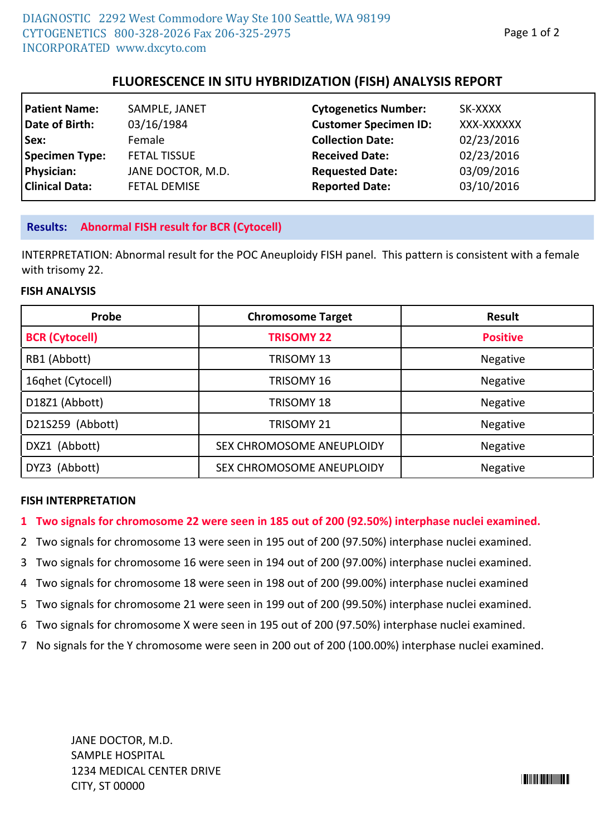# **FLUORESCENCE IN SITU HYBRIDIZATION (FISH) ANALYSIS REPORT**

| SAMPLE, JANET       |                         | SK-XXXX                                                                                                                                 |
|---------------------|-------------------------|-----------------------------------------------------------------------------------------------------------------------------------------|
| 03/16/1984          |                         | XXX-XXXXXX                                                                                                                              |
| Female              | <b>Collection Date:</b> | 02/23/2016                                                                                                                              |
| <b>FETAL TISSUE</b> |                         | 02/23/2016                                                                                                                              |
| JANE DOCTOR, M.D.   |                         | 03/09/2016                                                                                                                              |
| <b>FETAL DEMISE</b> |                         | 03/10/2016                                                                                                                              |
|                     |                         | <b>Cytogenetics Number:</b><br><b>Customer Specimen ID:</b><br><b>Received Date:</b><br><b>Requested Date:</b><br><b>Reported Date:</b> |

### **Results: Abnormal FISH result for BCR (Cytocell)**

INTERPRETATION: Abnormal result for the POC Aneuploidy FISH panel. This pattern is consistent with a female with trisomy 22.

#### **FISH ANALYSIS**

| Probe                 | <b>Chromosome Target</b>  | Result          |  |
|-----------------------|---------------------------|-----------------|--|
| <b>BCR (Cytocell)</b> | <b>TRISOMY 22</b>         | <b>Positive</b> |  |
| RB1 (Abbott)          | TRISOMY 13                | Negative        |  |
| 16qhet (Cytocell)     | TRISOMY 16                | Negative        |  |
| D18Z1 (Abbott)        | <b>TRISOMY 18</b>         | Negative        |  |
| D21S259 (Abbott)      | TRISOMY 21                | Negative        |  |
| DXZ1 (Abbott)         | SEX CHROMOSOME ANEUPLOIDY | Negative        |  |
| DYZ3 (Abbott)         | SEX CHROMOSOME ANEUPLOIDY | Negative        |  |

#### **FISH INTERPRETATION**

### **1 Two signals for chromosome 22 were seen in 185 out of 200 (92.50%) interphase nuclei examined.**

- 2 Two signals for chromosome 13 were seen in 195 out of 200 (97.50%) interphase nuclei examined.
- 3 Two signals for chromosome 16 were seen in 194 out of 200 (97.00%) interphase nuclei examined.
- 4 Two signals for chromosome 18 were seen in 198 out of 200 (99.00%) interphase nuclei examined
- 5 Two signals for chromosome 21 were seen in 199 out of 200 (99.50%) interphase nuclei examined.
- 6 Two signals for chromosome X were seen in 195 out of 200 (97.50%) interphase nuclei examined.
- 7 No signals for the Y chromosome were seen in 200 out of 200 (100.00%) interphase nuclei examined.

JANE DOCTOR, M.D. SAMPLE HOSPITAL 1234 MEDICAL CENTER DRIVE CITY, ST 00000